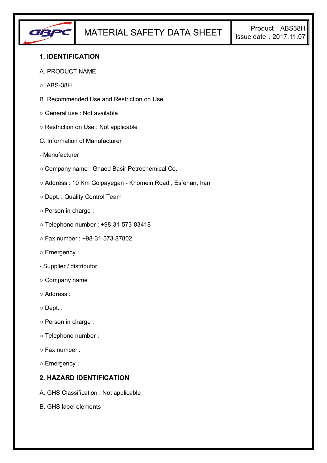

## **1. IDENTIFICATION**

#### A. PRODUCT NAME

- $\circ$  ABS-38H
- B. Recommended Use and Restriction on Use
- General use : Not available
- Restriction on Use : Not applicable
- C. Information of Manufacturer
- Manufacturer
- Company name : Ghaed Basir Petrochemical Co.
- Address : 10 Km Golpayegan Khomein Road , Esfehan, Iran
- Dept. : Quality Control Team
- Person in charge :
- Telephone number : +98-31-573-83418
- Fax number : +98-31-573-87802
- Emergency :
- Supplier / distributor
- Company name :
- Address :
- Dept. :
- Person in charge :
- Telephone number :
- Fax number :
- Emergency :

## **2. HAZARD IDENTIFICATION**

- A. GHS Classification : Not applicable
- B. GHS label elements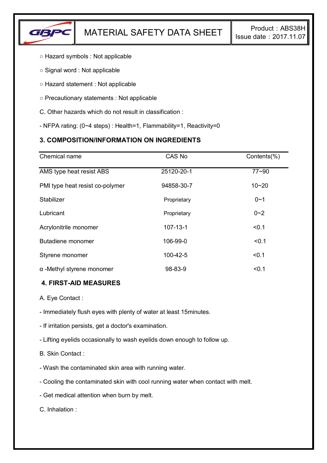

- Hazard symbols : Not applicable
- Signal word : Not applicable
- Hazard statement : Not applicable
- Precautionary statements : Not applicable
- C. Other hazards which do not result in classification :
- NFPA rating: (0~4 steps) : Health=1, Flammability=1, Reactivity=0

# **3. COMPOSITION/INFORMATION ON INGREDIENTS**

| Chemical name                    | CAS No         | Contents(%) |
|----------------------------------|----------------|-------------|
| AMS type heat resist ABS         | 25120-20-1     | $77 - 90$   |
| PMI type heat resist co-polymer  | 94858-30-7     | $10 - 20$   |
| Stabilizer                       | Proprietary    | $0 - 1$     |
| Lubricant                        | Proprietary    | $0 - 2$     |
| Acrylonitrile monomer            | $107 - 13 - 1$ | < 0.1       |
| Butadiene monomer                | 106-99-0       | < 0.1       |
| Styrene monomer                  | 100-42-5       | < 0.1       |
| $\alpha$ -Methyl styrene monomer | 98-83-9        | < 0.1       |

### **4. FIRST-AID MEASURES**

A. Eye Contact :

- Immediately flush eyes with plenty of water at least 15minutes.

- If irritation persists, get a doctor's examination.

- Lifting eyelids occasionally to wash eyelids down enough to follow up.

B. Skin Contact :

- Wash the contaminated skin area with running water.

- Cooling the contaminated skin with cool running water when contact with melt.

- Get medical attention when burn by melt.

C. Inhalation :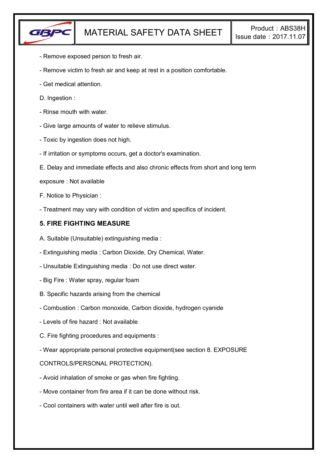

- Remove exposed person to fresh air.
- Remove victim to fresh air and keep at rest in a position comfortable.
- Get medical attention.
- D. Ingestion :
- Rinse mouth with water.
- Give large amounts of water to relieve stimulus.
- Toxic by ingestion does not high.
- If irritation or symptoms occurs, get a doctor's examination.
- E. Delay and immediate effects and also chronic effects from short and long term
- exposure : Not available
- F. Notice to Physician :
- Treatment may vary with condition of victim and specifics of incident.

## **5. FIRE FIGHTING MEASURE**

- A. Suitable (Unsuitable) extinguishing media :
- Extinguishing media : Carbon Dioxide, Dry Chemical, Water.
- Unsuitable Extinguishing media : Do not use direct water.
- Big Fire : Water spray, regular foam
- B. Specific hazards arising from the chemical
- Combustion : Carbon monoxide, Carbon dioxide, hydrogen cyanide
- Levels of fire hazard : Not available
- C. Fire fighting procedures and equipments :
- Wear appropriate personal protective equipment(see section 8. EXPOSURE

### CONTROLS/PERSONAL PROTECTION).

- Avoid inhalation of smoke or gas when fire fighting.
- Move container from fire area if it can be done without risk.
- Cool containers with water until well after fire is out.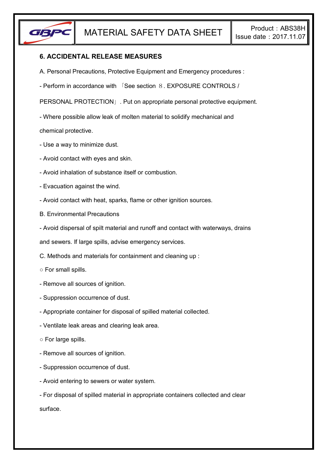

# **6. ACCIDENTAL RELEASE MEASURES**

- A. Personal Precautions, Protective Equipment and Emergency procedures :
- Perform in accordance with 「See section 8. EXPOSURE CONTROLS /

PERSONAL PROTECTION」. Put on appropriate personal protective equipment.

- Where possible allow leak of molten material to solidify mechanical and

chemical protective.

- Use a way to minimize dust.
- Avoid contact with eyes and skin.
- Avoid inhalation of substance itself or combustion.
- Evacuation against the wind.
- Avoid contact with heat, sparks, flame or other ignition sources.
- B. Environmental Precautions
- Avoid dispersal of spilt material and runoff and contact with waterways, drains

and sewers. If large spills, advise emergency services.

- C. Methods and materials for containment and cleaning up :
- For small spills.
- Remove all sources of ignition.
- Suppression occurrence of dust.
- Appropriate container for disposal of spilled material collected.
- Ventilate leak areas and clearing leak area.
- For large spills.
- Remove all sources of ignition.
- Suppression occurrence of dust.
- Avoid entering to sewers or water system.

- For disposal of spilled material in appropriate containers collected and clear surface.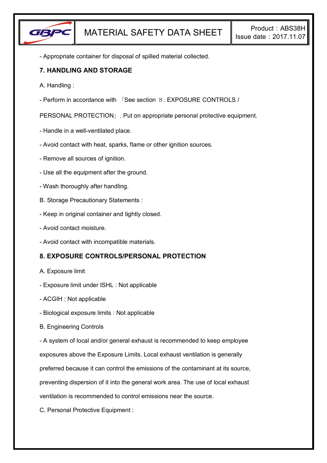

- Appropriate container for disposal of spilled material collected.

## **7. HANDLING AND STORAGE**

- A. Handling :
- Perform in accordance with 「See section 8. EXPOSURE CONTROLS /

PERSONAL PROTECTION」. Put on appropriate personal protective equipment.

- Handle in a well-ventilated place.
- Avoid contact with heat, sparks, flame or other ignition sources.
- Remove all sources of ignition.
- Use all the equipment after the ground.
- Wash thoroughly after handling.
- B. Storage Precautionary Statements :
- Keep in original container and tightly closed.
- Avoid contact moisture.
- Avoid contact with incompatible materials.

# **8. EXPOSURE CONTROLS/PERSONAL PROTECTION**

- A. Exposure limit
- Exposure limit under ISHL : Not applicable
- ACGIH : Not applicable
- Biological exposure limits : Not applicable
- B. Engineering Controls

- A system of local and/or general exhaust is recommended to keep employee

exposures above the Exposure Limits. Local exhaust ventilation is generally

preferred because it can control the emissions of the contaminant at its source,

preventing dispersion of it into the general work area. The use of local exhaust

ventilation is recommended to control emissions near the source.

C. Personal Protective Equipment :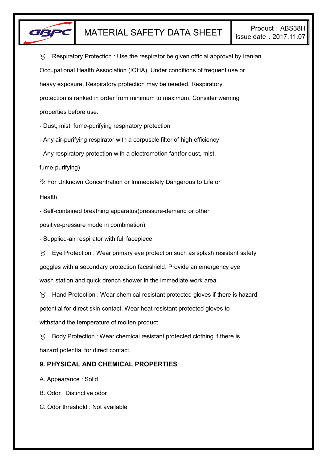

 $\gamma$  Respiratory Protection : Use the respirator be given official approval by Iranian Occupational Health Association (IOHA). Under conditions of frequent use or heavy exposure, Respiratory protection may be needed. Respiratory protection is ranked in order from minimum to maximum. Consider warning properties before use.

- Dust, mist, fume-purifying respiratory protection

- Any air-purifying respirator with a corpuscle filter of high efficiency

- Any respiratory protection with a electromotion fan(for dust, mist,

fume-purifying)

※ For Unknown Concentration or Immediately Dangerous to Life or

Health

- Self-contained breathing apparatus(pressure-demand or other

positive-pressure mode in combination)

- Supplied-air respirator with full facepiece

 $\forall$  Eye Protection : Wear primary eye protection such as splash resistant safety goggles with a secondary protection faceshield. Provide an emergency eye wash station and quick drench shower in the immediate work area.

 $\gamma$  Hand Protection : Wear chemical resistant protected gloves if there is hazard potential for direct skin contact. Wear heat resistant protected gloves to withstand the temperature of molten product.

 $\gamma$  Body Protection : Wear chemical resistant protected clothing if there is hazard potential for direct contact.

# **9. PHYSICAL AND CHEMICAL PROPERTIES**

A. Appearance : Solid

B. Odor : Distinctive odor

C. Odor threshold : Not available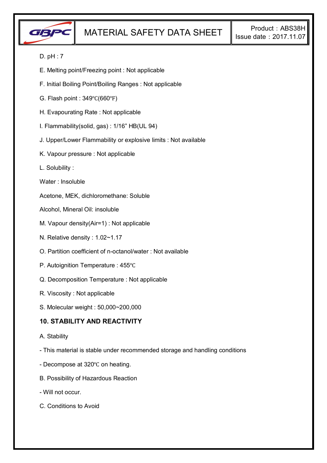

## D. pH : 7

- E. Melting point/Freezing point : Not applicable
- F. Initial Boiling Point/Boiling Ranges : Not applicable
- G. Flash point : 349℃(660℉)
- H. Evapourating Rate : Not applicable
- I. Flammability(solid, gas) : 1/16" HB(UL 94)
- J. Upper/Lower Flammability or explosive limits : Not available
- K. Vapour pressure : Not applicable
- L. Solubility :
- Water : Insoluble

Acetone, MEK, dichloromethane: Soluble

- Alcohol, Mineral Oil: insoluble
- M. Vapour density(Air=1) : Not applicable
- N. Relative density : 1.02~1.17
- O. Partition coefficient of n-octanol/water : Not available
- P. Autoignition Temperature : 455℃
- Q. Decomposition Temperature : Not applicable
- R. Viscosity : Not applicable
- S. Molecular weight : 50,000~200,000

### **10. STABILITY AND REACTIVITY**

- A. Stability
- This material is stable under recommended storage and handling conditions
- Decompose at 320℃ on heating.
- B. Possibility of Hazardous Reaction
- Will not occur.
- C. Conditions to Avoid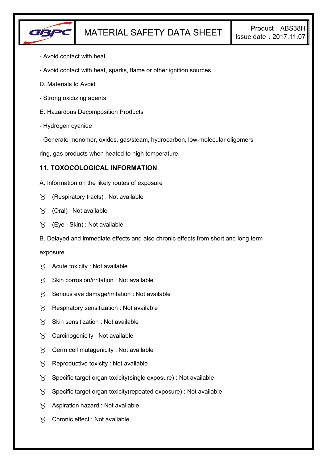

- Avoid contact with heat.
- Avoid contact with heat, sparks, flame or other ignition sources.
- D. Materials to Avoid
- Strong oxidizing agents.
- E. Hazardous Decomposition Products
- Hydrogen cyanide
- Generate monomer, oxides, gas/steam, hydrocarbon, low-molecular oligomers

ring, gas products when heated to high temperature.

### **11. TOXOCOLOGICAL INFORMATION**

- A. Information on the likely routes of exposure
- $\gamma$  (Respiratory tracts) : Not available
- (Oral) : Not available
- (Eye ∙ Skin) : Not available
- B. Delayed and immediate effects and also chronic effects from short and long term

#### exposure

- $\forall$  Acute toxicity : Not available
- $X$  Skin corrosion/irritation : Not available
- $\gamma$  Serious eye damage/irritation : Not available
- $\gamma$  Respiratory sensitization : Not available
- $X$  Skin sensitization : Not available
- $\forall$  Carcinogenicity : Not available
- $\forall$  Germ cell mutagenicity : Not available
- $\gamma$  Reproductive toxicity : Not available
- $\gamma$  Specific target organ toxicity(single exposure) : Not available
- $\gamma$  Specific target organ toxicity (repeated exposure) : Not available
- $\gamma$  Aspiration hazard : Not available
- Chronic effect : Not available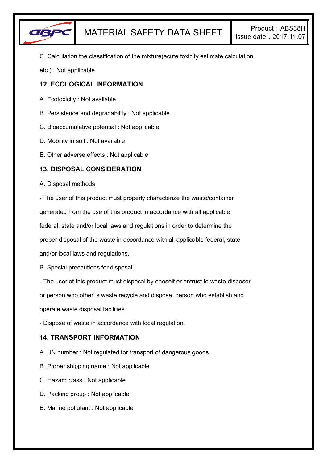

C. Calculation the classification of the mixture(acute toxicity estimate calculation

etc.) : Not applicable

# **12. ECOLOGICAL INFORMATION**

- A. Ecotoxicity : Not available
- B. Persistence and degradability : Not applicable
- C. Bioaccumulative potential : Not applicable
- D. Mobility in soil : Not available
- E. Other adverse effects : Not applicable

### **13. DISPOSAL CONSIDERATION**

#### A. Disposal methods

- The user of this product must properly characterize the waste/container generated from the use of this product in accordance with all applicable

federal, state and/or local laws and regulations in order to determine the

proper disposal of the waste in accordance with all applicable federal, state

and/or local laws and regulations.

B. Special precautions for disposal :

- The user of this product must disposal by oneself or entrust to waste disposer

or person who other' s waste recycle and dispose, person who establish and

operate waste disposal facilities.

- Dispose of waste in accordance with local regulation.

# **14. TRANSPORT INFORMATION**

- A. UN number : Not regulated for transport of dangerous goods
- B. Proper shipping name : Not applicable
- C. Hazard class : Not applicable
- D. Packing group : Not applicable
- E. Marine pollutant : Not applicable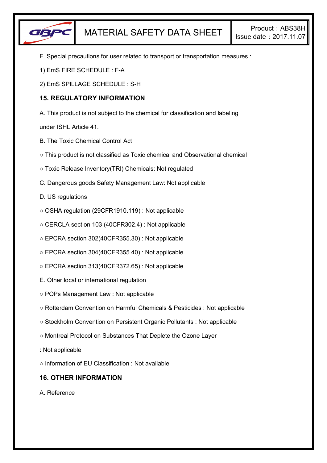

- F. Special precautions for user related to transport or transportation measures :
- 1) EmS FIRE SCHEDULE : F-A
- 2) EmS SPILLAGE SCHEDULE : S-H

### **15. REGULATORY INFORMATION**

A. This product is not subject to the chemical for classification and labeling

under ISHL Article 41.

- B. The Toxic Chemical Control Act
- This product is not classified as Toxic chemical and Observational chemical
- Toxic Release Inventory(TRI) Chemicals: Not regulated
- C. Dangerous goods Safety Management Law: Not applicable
- D. US regulations
- OSHA regulation (29CFR1910.119) : Not applicable
- CERCLA section 103 (40CFR302.4) : Not applicable
- EPCRA section 302(40CFR355.30) : Not applicable
- EPCRA section 304(40CFR355.40) : Not applicable
- EPCRA section 313(40CFR372.65) : Not applicable
- E. Other local or international regulation
- POPs Management Law : Not applicable
- Rotterdam Convention on Harmful Chemicals & Pesticides : Not applicable
- Stockholm Convention on Persistent Organic Pollutants : Not applicable
- Montreal Protocol on Substances That Deplete the Ozone Layer
- : Not applicable
- Information of EU Classification : Not available

# **16. OTHER INFORMATION**

A. Reference